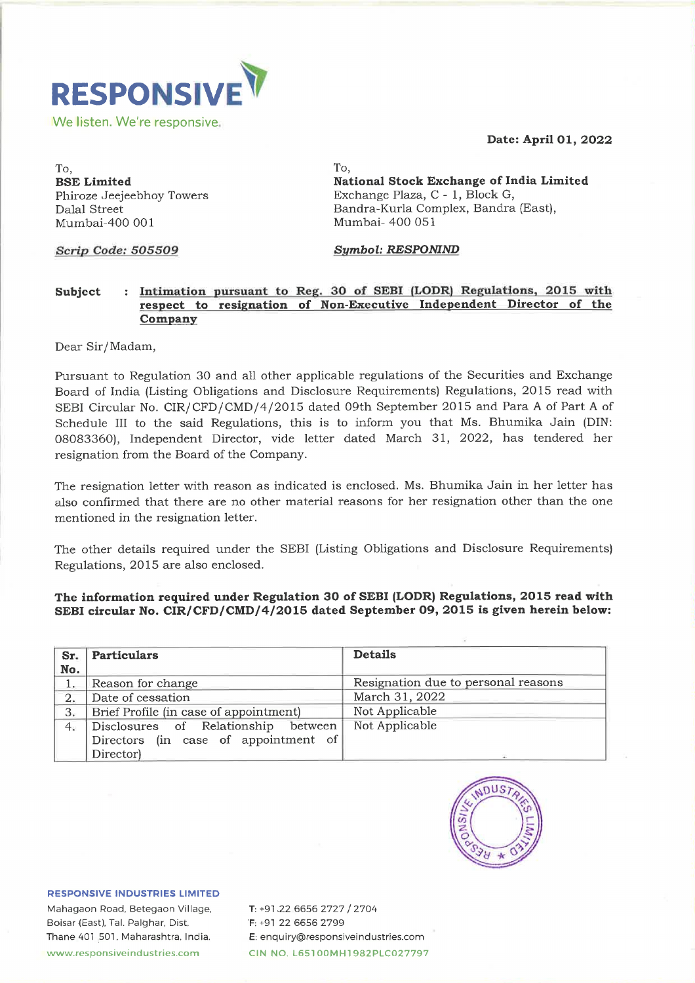#### Date: April 01, 2022



To, To, Mumbai-400 001 Mumbai- 400 051

BSE Limited National Stock Exchange of India Limited Phiroze Jeejeebhoy Towers Exchange Plaza, C - 1, Block G, Dalal Street Bandra-Kurla Complex, Bandra (East),

## Scrip Code: 505509 Symbol: RESPONIND

### Subject : Intimation pursuant to Reg. 30 of SEBI (LODR) Regulations, 2015 with respect to resignation of Non-Executive Independent Director of the Company

Pursuant to Regulation 30 and all other applicable regulations of the Securities and Exchange Board of India (Listing Obligations and Disclosure Requirements) Regulations, 2015 read with SEBI Circular No. CIR/CFD/CMD/4/2015 dated 09th September 2015 and Para A of Part A of Schedule III to the said Regulations, this is to inform you that Ms. Bhumika Jain (DIN: 08083360), Independent Director, vide letter dated March 31, 2022, has tendered her resignation from the Board of the Company. We listen. We're responsive.<br>
To,<br>
RSE Limited<br>
Phiroze Jeejeebhoy Towers<br>
Dalal Street<br>
Mumbai-400 001<br>
Serip Code: 505509<br>
Subject : Intimation pursuant to Reg.<br>
respect to resignation of N<br>
Company<br>
Dear Sir/Madam,<br>
Pur To,<br>
BSE Limited<br>
BBE Ligiebhoy Towers<br>
Phalal Street<br>
Mumbai-400 001<br>
Scrip Code: 505509<br>
Subject<br>
: Intimation pursuant to Reg.<br>
respect to resignation of N<br>
Company<br>
Dear Sir/Madam,<br>
Pursuant to Regulation 30 and all ot To,<br> **BSE Limited**<br> **BSE Limited**<br> **Phiroze Jeejeebhoy Towers**<br>
Dalal Street<br> **Mumbai-400 001**<br> **Serpet to resignation of N**<br> **Serpet to resignation of N**<br> **Company**<br>
Dear Sir/Madam,<br>
Pursuant to Regulation 30 and all othe For the Designal State of Besteedbox<br>
BSE Limited<br>
Phairoze Jeejeebhoy Towers<br>
Dalal Street<br>
Mumbai-400 001<br>
Serip Code: 505509<br>
Subject : Intimation pursuant to Reg.<br>
respect to resignation of N<br>
Company<br>
Dear Sir/Madam, <sup>1</sup>, and Sirius Limited<br>
incoze Jecjeebhoy Towers<br>
lalal Street<br>
umbai-400 001<br> **Prip Code: 505509**<br> **Prip Code: 505509**<br> **Prip Code: 505509**<br> **Prip Code: 505509**<br> **Prip Code: 505509**<br> **Prip Code: 505509**<br> **Prip Code: 5055** 

### The information required under Regulation 30 of SEBI (LODR) Regulations, 2015 read with SEBI circular No. CIR/CFD/CMD/4/2015 dated September 09, 2015 is given herein below:

|                    | Mumbai-400 001                                                                                                             | Mumbai- 400 051                                                                                                                                                                                                                                                                                                                                                                                                                                                                                                                                                                                                                                                                                                                                                                                                                                                                                                                                             |
|--------------------|----------------------------------------------------------------------------------------------------------------------------|-------------------------------------------------------------------------------------------------------------------------------------------------------------------------------------------------------------------------------------------------------------------------------------------------------------------------------------------------------------------------------------------------------------------------------------------------------------------------------------------------------------------------------------------------------------------------------------------------------------------------------------------------------------------------------------------------------------------------------------------------------------------------------------------------------------------------------------------------------------------------------------------------------------------------------------------------------------|
| Scrip Code: 505509 |                                                                                                                            | <b>Symbol: RESPONIND</b>                                                                                                                                                                                                                                                                                                                                                                                                                                                                                                                                                                                                                                                                                                                                                                                                                                                                                                                                    |
| Subject            | Company                                                                                                                    | : Intimation pursuant to Reg. 30 of SEBI (LODR) Regulations, 2015 with<br>respect to resignation of Non-Executive Independent Director of the                                                                                                                                                                                                                                                                                                                                                                                                                                                                                                                                                                                                                                                                                                                                                                                                               |
|                    | Dear Sir/Madam,                                                                                                            |                                                                                                                                                                                                                                                                                                                                                                                                                                                                                                                                                                                                                                                                                                                                                                                                                                                                                                                                                             |
|                    | resignation from the Board of the Company.<br>mentioned in the resignation letter.<br>Regulations, 2015 are also enclosed. | Pursuant to Regulation 30 and all other applicable regulations of the Securities and Exchange<br>Board of India (Listing Obligations and Disclosure Requirements) Regulations, 2015 read with<br>SEBI Circular No. CIR/CFD/CMD/4/2015 dated 09th September 2015 and Para A of Part A o<br>Schedule III to the said Regulations, this is to inform you that Ms. Bhumika Jain (DIN<br>08083360), Independent Director, vide letter dated March 31, 2022, has tendered he<br>The resignation letter with reason as indicated is enclosed. Ms. Bhumika Jain in her letter has<br>also confirmed that there are no other material reasons for her resignation other than the one<br>The other details required under the SEBI (Listing Obligations and Disclosure Requirements<br>The information required under Regulation 30 of SEBI (LODR) Regulations, 2015 read witl<br>SEBI circular No. CIR/CFD/CMD/4/2015 dated September 09, 2015 is given herein below |
| Sr.                | <b>Particulars</b>                                                                                                         | <b>Details</b>                                                                                                                                                                                                                                                                                                                                                                                                                                                                                                                                                                                                                                                                                                                                                                                                                                                                                                                                              |
| No.                |                                                                                                                            |                                                                                                                                                                                                                                                                                                                                                                                                                                                                                                                                                                                                                                                                                                                                                                                                                                                                                                                                                             |
| 1.                 | Reason for change                                                                                                          | Resignation due to personal reasons                                                                                                                                                                                                                                                                                                                                                                                                                                                                                                                                                                                                                                                                                                                                                                                                                                                                                                                         |
| 2.<br>3.           | Date of cessation<br>Brief Profile (in case of appointment)                                                                | March 31, 2022<br>Not Applicable                                                                                                                                                                                                                                                                                                                                                                                                                                                                                                                                                                                                                                                                                                                                                                                                                                                                                                                            |
| 4.                 | Relationship<br>of<br>Disclosures<br>between                                                                               | Not Applicable                                                                                                                                                                                                                                                                                                                                                                                                                                                                                                                                                                                                                                                                                                                                                                                                                                                                                                                                              |
|                    | Directors (in case of appointment of<br>Director)                                                                          |                                                                                                                                                                                                                                                                                                                                                                                                                                                                                                                                                                                                                                                                                                                                                                                                                                                                                                                                                             |



RESPONSIVE INDUSTRIES LIMITED

Mahagaon Road, Betegaon Village, Boisar (East), Tal. Palghar, Dist. Thane 407 501, Maharashtra, India. www.responsiveindustries.com

T: +91.22 6656 2727 / 2704 F: +91 22 6656 2799 E: enquiry@responsiveindustries.com CIN NO. L65100MH1982PLC027797